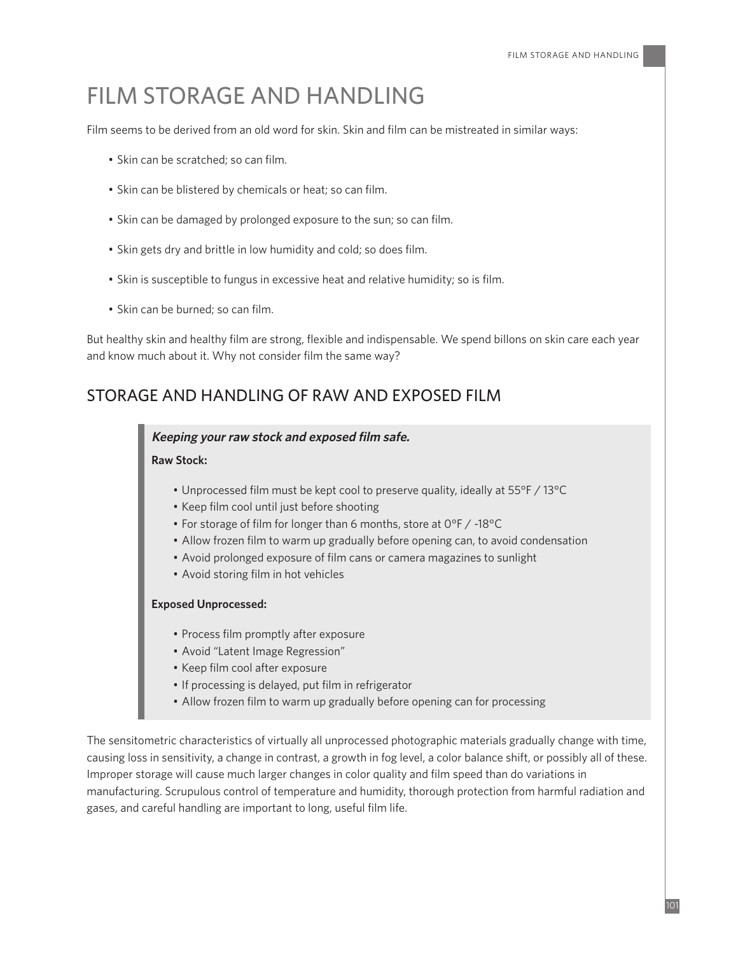# FILM STORAGE AND HANDLING

Film seems to be derived from an old word for skin. Skin and film can be mistreated in similar ways:

- Skin can be scratched; so can film.
- Skin can be blistered by chemicals or heat; so can film.
- Skin can be damaged by prolonged exposure to the sun; so can film.
- Skin gets dry and brittle in low humidity and cold; so does film.
- Skin is susceptible to fungus in excessive heat and relative humidity; so is film.
- Skin can be burned; so can film.

But healthy skin and healthy film are strong, flexible and indispensable. We spend billons on skin care each year and know much about it. Why not consider film the same way?

# STORAGE AND HANDLING OF RAW AND EXPOSED FILM

#### **Keeping your raw stock and exposed film safe.**

#### **Raw Stock:**

- Unprocessed film must be kept cool to preserve quality, ideally at 55°F / 13°C
- Keep film cool until just before shooting
- For storage of film for longer than 6 months, store at 0°F / -18°C
- Allow frozen film to warm up gradually before opening can, to avoid condensation
- Avoid prolonged exposure of film cans or camera magazines to sunlight
- Avoid storing film in hot vehicles

#### **Exposed Unprocessed:**

- Process film promptly after exposure
- Avoid "Latent Image Regression"
- Keep film cool after exposure
- If processing is delayed, put film in refrigerator
- Allow frozen film to warm up gradually before opening can for processing

The sensitometric characteristics of virtually all unprocessed photographic materials gradually change with time, causing loss in sensitivity, a change in contrast, a growth in fog level, a color balance shift, or possibly all of these. Improper storage will cause much larger changes in color quality and film speed than do variations in manufacturing. Scrupulous control of temperature and humidity, thorough protection from harmful radiation and gases, and careful handling are important to long, useful film life.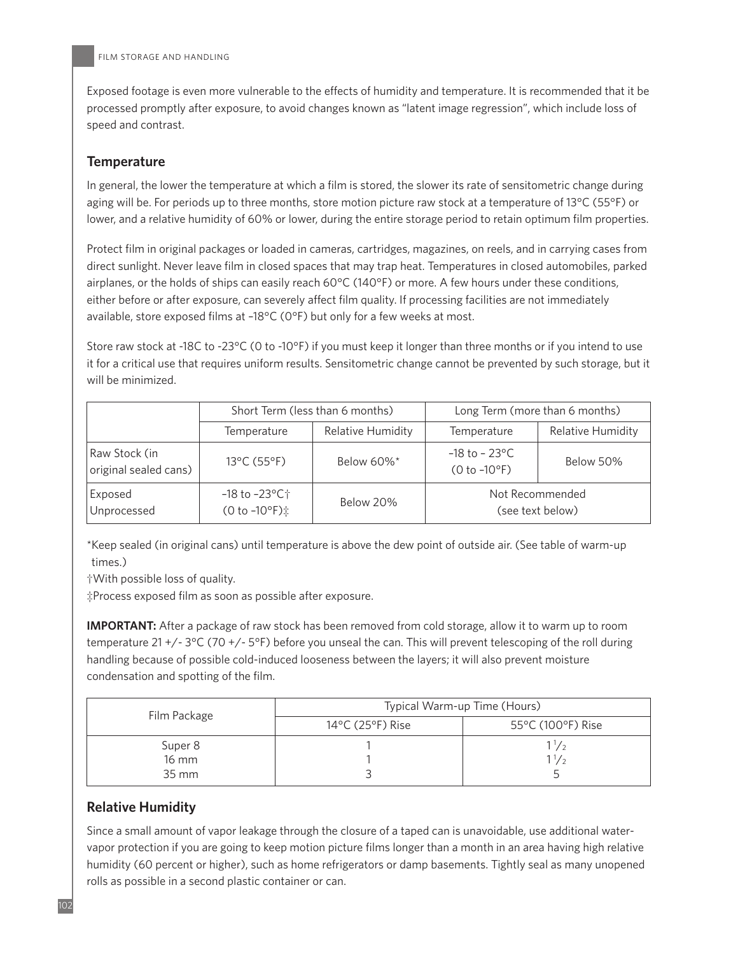Exposed footage is even more vulnerable to the effects of humidity and temperature. It is recommended that it be processed promptly after exposure, to avoid changes known as "latent image regression", which include loss of speed and contrast.

# **Temperature**

In general, the lower the temperature at which a film is stored, the slower its rate of sensitometric change during aging will be. For periods up to three months, store motion picture raw stock at a temperature of 13°C (55°F) or lower, and a relative humidity of 60% or lower, during the entire storage period to retain optimum film properties.

Protect film in original packages or loaded in cameras, cartridges, magazines, on reels, and in carrying cases from direct sunlight. Never leave film in closed spaces that may trap heat. Temperatures in closed automobiles, parked airplanes, or the holds of ships can easily reach 60°C (140°F) or more. A few hours under these conditions, either before or after exposure, can severely affect film quality. If processing facilities are not immediately available, store exposed films at –18°C (0°F) but only for a few weeks at most.

Store raw stock at -18C to -23°C (0 to -10°F) if you must keep it longer than three months or if you intend to use it for a critical use that requires uniform results. Sensitometric change cannot be prevented by such storage, but it will be minimized.

|                                        | Short Term (less than 6 months)        |                          | Long Term (more than 6 months)              |                          |
|----------------------------------------|----------------------------------------|--------------------------|---------------------------------------------|--------------------------|
|                                        | Temperature                            | <b>Relative Humidity</b> | Temperature                                 | <b>Relative Humidity</b> |
| Raw Stock (in<br>original sealed cans) | 13°C (55°F)                            | Below 60%*               | $-18$ to $-23^{\circ}$ C<br>$(0 to -10$ °F) | Below 50%                |
| Exposed<br>Unprocessed                 | -18 to -23°C†<br>$(0 to -10$ °F) $\pm$ | Below 20%                | Not Recommended<br>(see text below)         |                          |

\*Keep sealed (in original cans) until temperature is above the dew point of outside air. (See table of warm-up times.)

†With possible loss of quality.

‡Process exposed film as soon as possible after exposure.

**IMPORTANT:** After a package of raw stock has been removed from cold storage, allow it to warm up to room temperature 21 +/- 3°C (70 +/- 5°F) before you unseal the can. This will prevent telescoping of the roll during handling because of possible cold-induced looseness between the layers; it will also prevent moisture condensation and spotting of the film.

| Film Package | Typical Warm-up Time (Hours)          |                   |  |  |
|--------------|---------------------------------------|-------------------|--|--|
|              | $14^{\circ}$ C (25 $^{\circ}$ F) Rise | 55°C (100°F) Rise |  |  |
| Super 8      |                                       | $\frac{1}{2}$     |  |  |
| <b>16 mm</b> |                                       |                   |  |  |
| 35 mm        |                                       |                   |  |  |

## **Relative Humidity**

Since a small amount of vapor leakage through the closure of a taped can is unavoidable, use additional watervapor protection if you are going to keep motion picture films longer than a month in an area having high relative humidity (60 percent or higher), such as home refrigerators or damp basements. Tightly seal as many unopened rolls as possible in a second plastic container or can.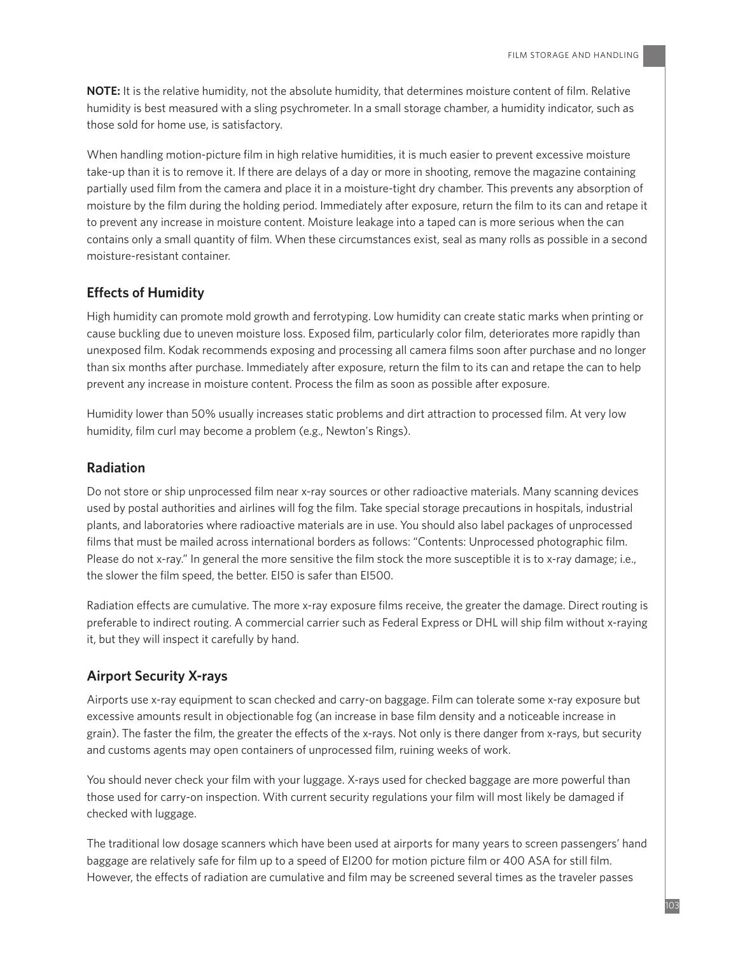**NOTE:** It is the relative humidity, not the absolute humidity, that determines moisture content of film. Relative humidity is best measured with a sling psychrometer. In a small storage chamber, a humidity indicator, such as those sold for home use, is satisfactory.

When handling motion-picture film in high relative humidities, it is much easier to prevent excessive moisture take-up than it is to remove it. If there are delays of a day or more in shooting, remove the magazine containing partially used film from the camera and place it in a moisture-tight dry chamber. This prevents any absorption of moisture by the film during the holding period. Immediately after exposure, return the film to its can and retape it to prevent any increase in moisture content. Moisture leakage into a taped can is more serious when the can contains only a small quantity of film. When these circumstances exist, seal as many rolls as possible in a second moisture-resistant container.

## **Effects of Humidity**

High humidity can promote mold growth and ferrotyping. Low humidity can create static marks when printing or cause buckling due to uneven moisture loss. Exposed film, particularly color film, deteriorates more rapidly than unexposed film. Kodak recommends exposing and processing all camera films soon after purchase and no longer than six months after purchase. Immediately after exposure, return the film to its can and retape the can to help prevent any increase in moisture content. Process the film as soon as possible after exposure.

Humidity lower than 50% usually increases static problems and dirt attraction to processed film. At very low humidity, film curl may become a problem (e.g., Newton's Rings).

## **Radiation**

Do not store or ship unprocessed film near x-ray sources or other radioactive materials. Many scanning devices used by postal authorities and airlines will fog the film. Take special storage precautions in hospitals, industrial plants, and laboratories where radioactive materials are in use. You should also label packages of unprocessed films that must be mailed across international borders as follows: "Contents: Unprocessed photographic film. Please do not x-ray." In general the more sensitive the film stock the more susceptible it is to x-ray damage; i.e., the slower the film speed, the better. EI50 is safer than EI500.

Radiation effects are cumulative. The more x-ray exposure films receive, the greater the damage. Direct routing is preferable to indirect routing. A commercial carrier such as Federal Express or DHL will ship film without x-raying it, but they will inspect it carefully by hand.

# **Airport Security X-rays**

Airports use x-ray equipment to scan checked and carry-on baggage. Film can tolerate some x-ray exposure but excessive amounts result in objectionable fog (an increase in base film density and a noticeable increase in grain). The faster the film, the greater the effects of the x-rays. Not only is there danger from x-rays, but security and customs agents may open containers of unprocessed film, ruining weeks of work.

You should never check your film with your luggage. X-rays used for checked baggage are more powerful than those used for carry-on inspection. With current security regulations your film will most likely be damaged if checked with luggage.

The traditional low dosage scanners which have been used at airports for many years to screen passengers' hand baggage are relatively safe for film up to a speed of EI200 for motion picture film or 400 ASA for still film. However, the effects of radiation are cumulative and film may be screened several times as the traveler passes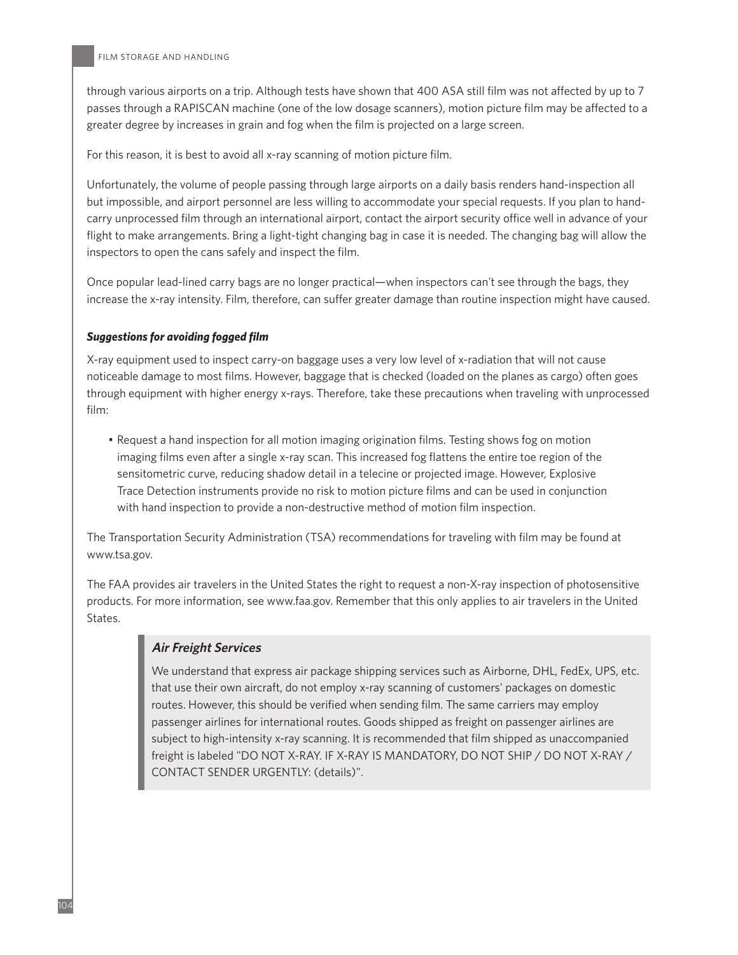through various airports on a trip. Although tests have shown that 400 ASA still film was not affected by up to 7 passes through a RAPISCAN machine (one of the low dosage scanners), motion picture film may be affected to a greater degree by increases in grain and fog when the film is projected on a large screen.

For this reason, it is best to avoid all x-ray scanning of motion picture film.

Unfortunately, the volume of people passing through large airports on a daily basis renders hand-inspection all but impossible, and airport personnel are less willing to accommodate your special requests. If you plan to handcarry unprocessed film through an international airport, contact the airport security office well in advance of your flight to make arrangements. Bring a light-tight changing bag in case it is needed. The changing bag will allow the inspectors to open the cans safely and inspect the film.

Once popular lead-lined carry bags are no longer practical—when inspectors can't see through the bags, they increase the x-ray intensity. Film, therefore, can suffer greater damage than routine inspection might have caused.

#### *Suggestions for avoiding fogged film*

X-ray equipment used to inspect carry-on baggage uses a very low level of x-radiation that will not cause noticeable damage to most films. However, baggage that is checked (loaded on the planes as cargo) often goes through equipment with higher energy x-rays. Therefore, take these precautions when traveling with unprocessed film:

• Request a hand inspection for all motion imaging origination films. Testing shows fog on motion imaging films even after a single x-ray scan. This increased fog flattens the entire toe region of the sensitometric curve, reducing shadow detail in a telecine or projected image. However, Explosive Trace Detection instruments provide no risk to motion picture films and can be used in conjunction with hand inspection to provide a non-destructive method of motion film inspection.

The Transportation Security Administration (TSA) recommendations for traveling with film may be found at www.tsa.gov.

The FAA provides air travelers in the United States the right to request a non-X-ray inspection of photosensitive products. For more information, see www.faa.gov. Remember that this only applies to air travelers in the United States.

### **Air Freight Services**

We understand that express air package shipping services such as Airborne, DHL, FedEx, UPS, etc. that use their own aircraft, do not employ x-ray scanning of customers' packages on domestic routes. However, this should be verified when sending film. The same carriers may employ passenger airlines for international routes. Goods shipped as freight on passenger airlines are subject to high-intensity x-ray scanning. It is recommended that film shipped as unaccompanied freight is labeled "DO NOT X-RAY. IF X-RAY IS MANDATORY, DO NOT SHIP / DO NOT X-RAY / CONTACT SENDER URGENTLY: (details)".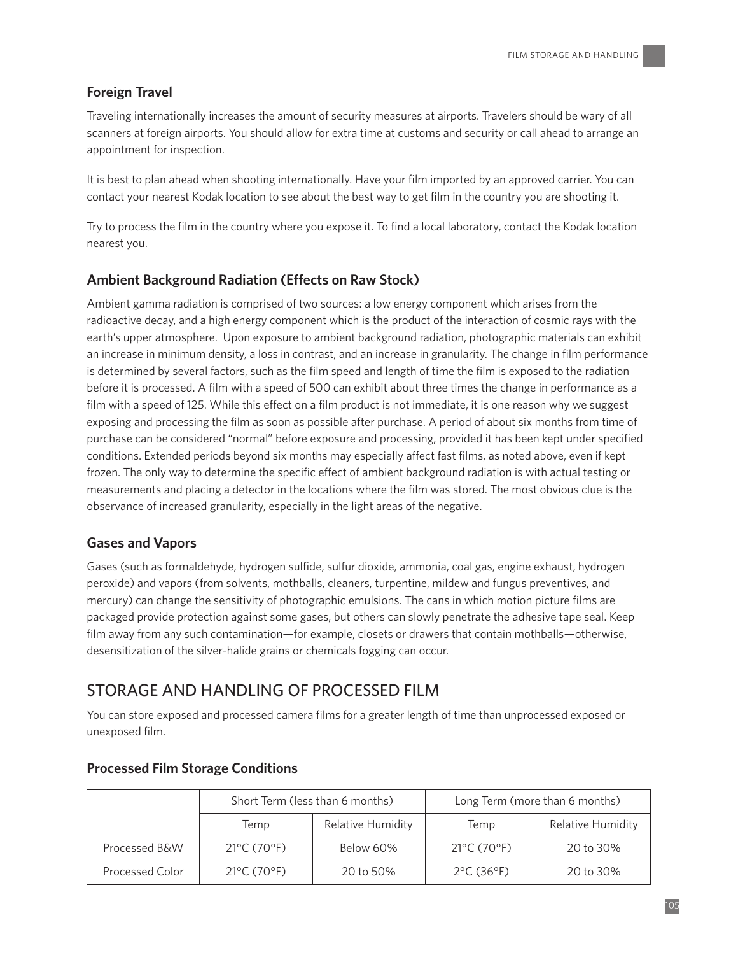## **Foreign Travel**

Traveling internationally increases the amount of security measures at airports. Travelers should be wary of all scanners at foreign airports. You should allow for extra time at customs and security or call ahead to arrange an appointment for inspection.

It is best to plan ahead when shooting internationally. Have your film imported by an approved carrier. You can contact your nearest Kodak location to see about the best way to get film in the country you are shooting it.

Try to process the film in the country where you expose it. To find a local laboratory, contact the Kodak location nearest you.

#### **Ambient Background Radiation (E7ects on Raw Stock)**

Ambient gamma radiation is comprised of two sources: a low energy component which arises from the radioactive decay, and a high energy component which is the product of the interaction of cosmic rays with the earth's upper atmosphere. Upon exposure to ambient background radiation, photographic materials can exhibit an increase in minimum density, a loss in contrast, and an increase in granularity. The change in film performance is determined by several factors, such as the film speed and length of time the film is exposed to the radiation before it is processed. A film with a speed of 500 can exhibit about three times the change in performance as a film with a speed of 125. While this effect on a film product is not immediate, it is one reason why we suggest exposing and processing the film as soon as possible after purchase. A period of about six months from time of purchase can be considered "normal" before exposure and processing, provided it has been kept under specified conditions. Extended periods beyond six months may especially affect fast films, as noted above, even if kept frozen. The only way to determine the specific effect of ambient background radiation is with actual testing or measurements and placing a detector in the locations where the film was stored. The most obvious clue is the observance of increased granularity, especially in the light areas of the negative.

#### **Gases and Vapors**

Gases (such as formaldehyde, hydrogen sulfide, sulfur dioxide, ammonia, coal gas, engine exhaust, hydrogen peroxide) and vapors (from solvents, mothballs, cleaners, turpentine, mildew and fungus preventives, and mercury) can change the sensitivity of photographic emulsions. The cans in which motion picture films are packaged provide protection against some gases, but others can slowly penetrate the adhesive tape seal. Keep film away from any such contamination—for example, closets or drawers that contain mothballs—otherwise, desensitization of the silver-halide grains or chemicals fogging can occur.

# STORAGE AND HANDLING OF PROCESSED FILM

You can store exposed and processed camera films for a greater length of time than unprocessed exposed or unexposed film.

|                 | Short Term (less than 6 months)  |                   | Long Term (more than 6 months)  |                          |
|-----------------|----------------------------------|-------------------|---------------------------------|--------------------------|
|                 | Temp                             | Relative Humidity | Temp                            | <b>Relative Humidity</b> |
| Processed B&W   | $21^{\circ}$ C (70 $^{\circ}$ F) | Below 60%         | 21°C (70°F)                     | 20 to 30%                |
| Processed Color | $21^{\circ}$ C (70 $^{\circ}$ F) | 20 to 50%         | $2^{\circ}$ C (36 $^{\circ}$ F) | 20 to 30%                |

#### **Processed Film Storage Conditions**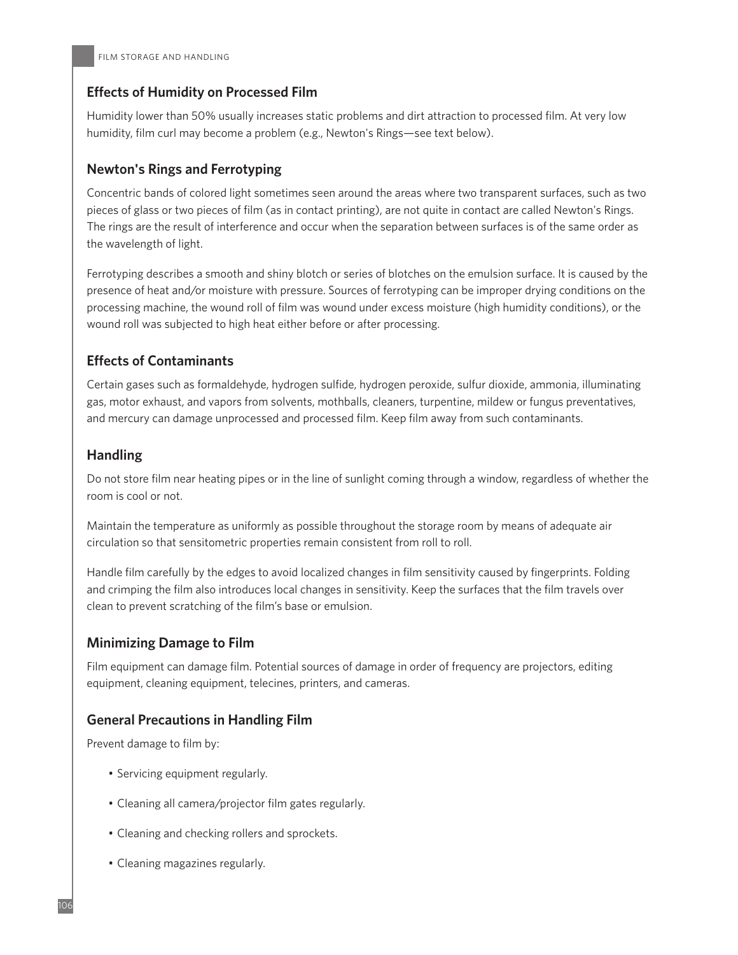# **E7ects of Humidity on Processed Film**

Humidity lower than 50% usually increases static problems and dirt attraction to processed film. At very low humidity, film curl may become a problem (e.g., Newton's Rings—see text below).

# **Newton's Rings and Ferrotyping**

Concentric bands of colored light sometimes seen around the areas where two transparent surfaces, such as two pieces of glass or two pieces of film (as in contact printing), are not quite in contact are called Newton's Rings. The rings are the result of interference and occur when the separation between surfaces is of the same order as the wavelength of light.

Ferrotyping describes a smooth and shiny blotch or series of blotches on the emulsion surface. It is caused by the presence of heat and/or moisture with pressure. Sources of ferrotyping can be improper drying conditions on the processing machine, the wound roll of film was wound under excess moisture (high humidity conditions), or the wound roll was subjected to high heat either before or after processing.

# **Effects of Contaminants**

Certain gases such as formaldehyde, hydrogen sulfide, hydrogen peroxide, sulfur dioxide, ammonia, illuminating gas, motor exhaust, and vapors from solvents, mothballs, cleaners, turpentine, mildew or fungus preventatives, and mercury can damage unprocessed and processed film. Keep film away from such contaminants.

# **Handling**

Do not store film near heating pipes or in the line of sunlight coming through a window, regardless of whether the room is cool or not.

Maintain the temperature as uniformly as possible throughout the storage room by means of adequate air circulation so that sensitometric properties remain consistent from roll to roll.

Handle film carefully by the edges to avoid localized changes in film sensitivity caused by fingerprints. Folding and crimping the film also introduces local changes in sensitivity. Keep the surfaces that the film travels over clean to prevent scratching of the film's base or emulsion.

# **Minimizing Damage to Film**

Film equipment can damage film. Potential sources of damage in order of frequency are projectors, editing equipment, cleaning equipment, telecines, printers, and cameras.

## **General Precautions in Handling Film**

Prevent damage to film by:

- Servicing equipment regularly.
- Cleaning all camera/projector film gates regularly.
- Cleaning and checking rollers and sprockets.
- Cleaning magazines regularly.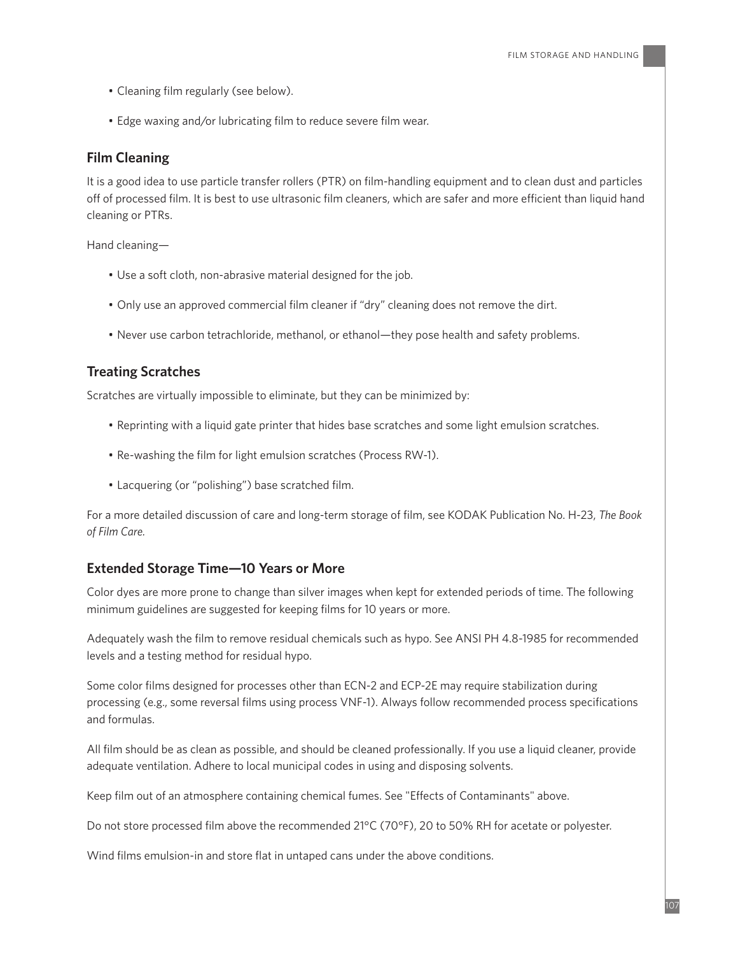- Cleaning film regularly (see below).
- Edge waxing and/or lubricating film to reduce severe film wear.

#### **Film Cleaning**

It is a good idea to use particle transfer rollers (PTR) on film-handling equipment and to clean dust and particles off of processed film. It is best to use ultrasonic film cleaners, which are safer and more efficient than liquid hand cleaning or PTRs.

Hand cleaning—

- Use a soft cloth, non-abrasive material designed for the job.
- Only use an approved commercial film cleaner if "dry" cleaning does not remove the dirt.
- Never use carbon tetrachloride, methanol, or ethanol—they pose health and safety problems.

#### **Treating Scratches**

Scratches are virtually impossible to eliminate, but they can be minimized by:

- Reprinting with a liquid gate printer that hides base scratches and some light emulsion scratches.
- Re-washing the film for light emulsion scratches (Process RW-1).
- Lacquering (or "polishing") base scratched film.

For a more detailed discussion of care and long-term storage of film, see KODAK Publication No. H-23, *The Book of Film Care.*

#### **Extended Storage Time—10 Years or More**

Color dyes are more prone to change than silver images when kept for extended periods of time. The following minimum guidelines are suggested for keeping films for 10 years or more.

Adequately wash the film to remove residual chemicals such as hypo. See ANSI PH 4.8-1985 for recommended levels and a testing method for residual hypo.

Some color films designed for processes other than ECN-2 and ECP-2E may require stabilization during processing (e.g., some reversal films using process VNF-1). Always follow recommended process specifications and formulas.

All film should be as clean as possible, and should be cleaned professionally. If you use a liquid cleaner, provide adequate ventilation. Adhere to local municipal codes in using and disposing solvents.

Keep film out of an atmosphere containing chemical fumes. See "Effects of Contaminants" above.

Do not store processed film above the recommended 21°C (70°F), 20 to 50% RH for acetate or polyester.

Wind films emulsion-in and store flat in untaped cans under the above conditions.